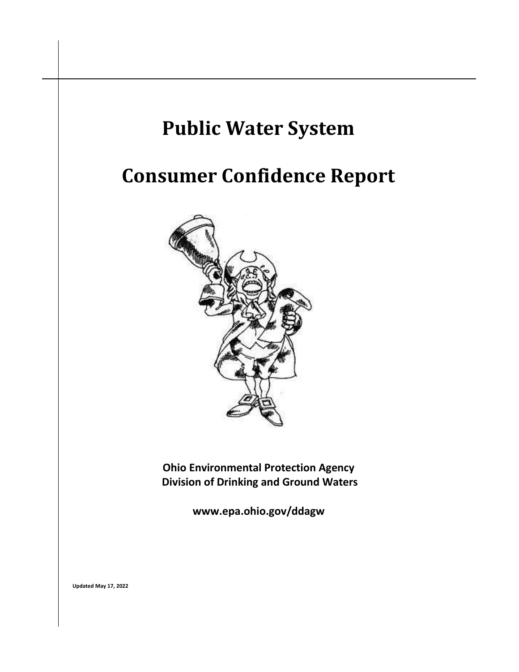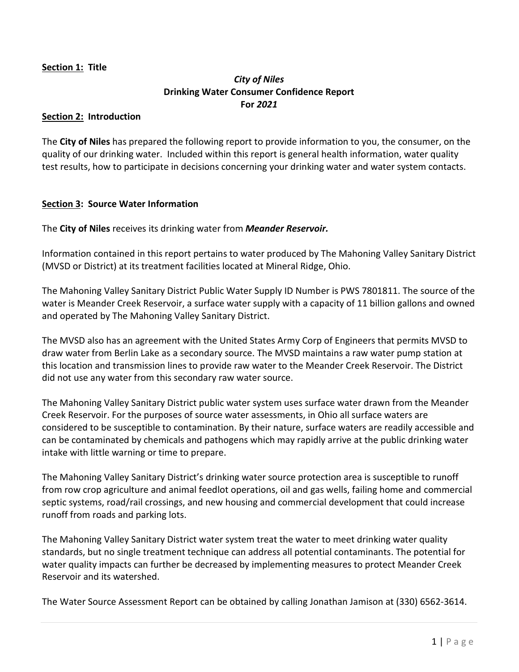#### **Section 1: Title**

# *City of Niles* **Drinking Water Consumer Confidence Report For** *2021*

#### **Section 2: Introduction**

The **City of Niles** has prepared the following report to provide information to you, the consumer, on the quality of our drinking water. Included within this report is general health information, water quality test results, how to participate in decisions concerning your drinking water and water system contacts.

#### **Section 3: Source Water Information**

The **City of Niles** receives its drinking water from *Meander Reservoir.*

Information contained in this report pertains to water produced by The Mahoning Valley Sanitary District (MVSD or District) at its treatment facilities located at Mineral Ridge, Ohio.

The Mahoning Valley Sanitary District Public Water Supply ID Number is PWS 7801811. The source of the water is Meander Creek Reservoir, a surface water supply with a capacity of 11 billion gallons and owned and operated by The Mahoning Valley Sanitary District.

The MVSD also has an agreement with the United States Army Corp of Engineers that permits MVSD to draw water from Berlin Lake as a secondary source. The MVSD maintains a raw water pump station at this location and transmission lines to provide raw water to the Meander Creek Reservoir. The District did not use any water from this secondary raw water source.

The Mahoning Valley Sanitary District public water system uses surface water drawn from the Meander Creek Reservoir. For the purposes of source water assessments, in Ohio all surface waters are considered to be susceptible to contamination. By their nature, surface waters are readily accessible and can be contaminated by chemicals and pathogens which may rapidly arrive at the public drinking water intake with little warning or time to prepare.

The Mahoning Valley Sanitary District's drinking water source protection area is susceptible to runoff from row crop agriculture and animal feedlot operations, oil and gas wells, failing home and commercial septic systems, road/rail crossings, and new housing and commercial development that could increase runoff from roads and parking lots.

The Mahoning Valley Sanitary District water system treat the water to meet drinking water quality standards, but no single treatment technique can address all potential contaminants. The potential for water quality impacts can further be decreased by implementing measures to protect Meander Creek Reservoir and its watershed.

The Water Source Assessment Report can be obtained by calling Jonathan Jamison at (330) 6562-3614.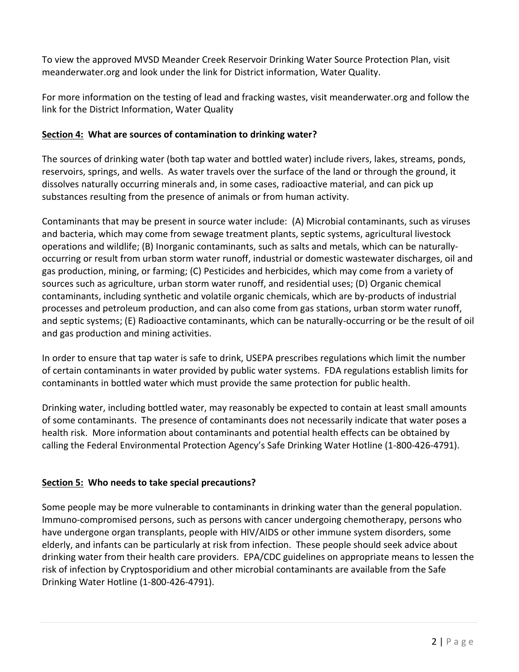To view the approved MVSD Meander Creek Reservoir Drinking Water Source Protection Plan, visit meanderwater.org and look under the link for District information, Water Quality.

For more information on the testing of lead and fracking wastes, visit meanderwater.org and follow the link for the District Information, Water Quality

#### **Section 4: What are sources of contamination to drinking water?**

The sources of drinking water (both tap water and bottled water) include rivers, lakes, streams, ponds, reservoirs, springs, and wells. As water travels over the surface of the land or through the ground, it dissolves naturally occurring minerals and, in some cases, radioactive material, and can pick up substances resulting from the presence of animals or from human activity.

Contaminants that may be present in source water include: (A) Microbial contaminants, such as viruses and bacteria, which may come from sewage treatment plants, septic systems, agricultural livestock operations and wildlife; (B) Inorganic contaminants, such as salts and metals, which can be naturallyoccurring or result from urban storm water runoff, industrial or domestic wastewater discharges, oil and gas production, mining, or farming; (C) Pesticides and herbicides, which may come from a variety of sources such as agriculture, urban storm water runoff, and residential uses; (D) Organic chemical contaminants, including synthetic and volatile organic chemicals, which are by-products of industrial processes and petroleum production, and can also come from gas stations, urban storm water runoff, and septic systems; (E) Radioactive contaminants, which can be naturally-occurring or be the result of oil and gas production and mining activities.

In order to ensure that tap water is safe to drink, USEPA prescribes regulations which limit the number of certain contaminants in water provided by public water systems. FDA regulations establish limits for contaminants in bottled water which must provide the same protection for public health.

Drinking water, including bottled water, may reasonably be expected to contain at least small amounts of some contaminants. The presence of contaminants does not necessarily indicate that water poses a health risk. More information about contaminants and potential health effects can be obtained by calling the Federal Environmental Protection Agency's Safe Drinking Water Hotline (1-800-426-4791).

### **Section 5: Who needs to take special precautions?**

Some people may be more vulnerable to contaminants in drinking water than the general population. Immuno-compromised persons, such as persons with cancer undergoing chemotherapy, persons who have undergone organ transplants, people with HIV/AIDS or other immune system disorders, some elderly, and infants can be particularly at risk from infection. These people should seek advice about drinking water from their health care providers. EPA/CDC guidelines on appropriate means to lessen the risk of infection by Cryptosporidium and other microbial contaminants are available from the Safe Drinking Water Hotline (1-800-426-4791).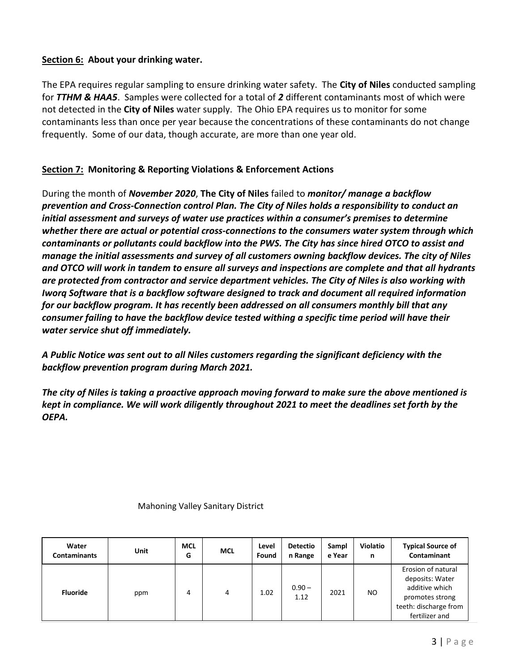#### **Section 6: About your drinking water.**

The EPA requires regular sampling to ensure drinking water safety. The **City of Niles** conducted sampling for *TTHM & HAA5*. Samples were collected for a total of *2* different contaminants most of which were not detected in the **City of Niles** water supply. The Ohio EPA requires us to monitor for some contaminants less than once per year because the concentrations of these contaminants do not change frequently. Some of our data, though accurate, are more than one year old.

## **Section 7: Monitoring & Reporting Violations & Enforcement Actions**

During the month of *November 2020*, **The City of Niles** failed to *monitor/ manage a backflow prevention and Cross-Connection control Plan. The City of Niles holds a responsibility to conduct an initial assessment and surveys of water use practices within a consumer's premises to determine whether there are actual or potential cross-connections to the consumers water system through which contaminants or pollutants could backflow into the PWS. The City has since hired OTCO to assist and manage the initial assessments and survey of all customers owning backflow devices. The city of Niles and OTCO will work in tandem to ensure all surveys and inspections are complete and that all hydrants are protected from contractor and service department vehicles. The City of Niles is also working with Iworq Software that is a backflow software designed to track and document all required information for our backflow program. It has recently been addressed on all consumers monthly bill that any consumer failing to have the backflow device tested withing a specific time period will have their water service shut off immediately.*

*A Public Notice was sent out to all Niles customers regarding the significant deficiency with the backflow prevention program during March 2021.*

*The city of Niles is taking a proactive approach moving forward to make sure the above mentioned is kept in compliance. We will work diligently throughout 2021 to meet the deadlines set forth by the OEPA.* 

| Water<br><b>Contaminants</b> | <b>Unit</b> | <b>MCL</b><br>G | <b>MCL</b> | Level<br>Found | <b>Detectio</b><br>n Range | Sampl<br>e Year | <b>Violatio</b><br>n | <b>Typical Source of</b><br>Contaminant                                                                               |
|------------------------------|-------------|-----------------|------------|----------------|----------------------------|-----------------|----------------------|-----------------------------------------------------------------------------------------------------------------------|
| <b>Fluoride</b>              | ppm         | 4               | 4          | 1.02           | $0.90 -$<br>1.12           | 2021            | NO.                  | Erosion of natural<br>deposits: Water<br>additive which<br>promotes strong<br>teeth: discharge from<br>fertilizer and |

### Mahoning Valley Sanitary District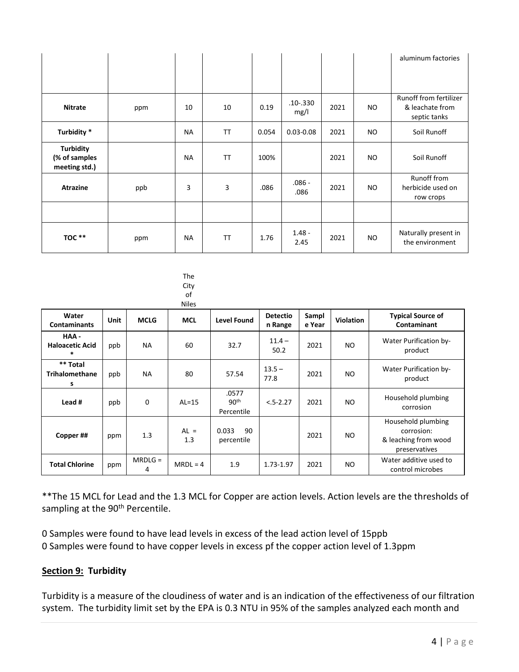|                                                    |     |           |           |       |                      |      |           | aluminum factories                                               |
|----------------------------------------------------|-----|-----------|-----------|-------|----------------------|------|-----------|------------------------------------------------------------------|
| <b>Nitrate</b>                                     | ppm | 10        | 10        | 0.19  | $.10 - .330$<br>mg/l | 2021 | <b>NO</b> | <b>Runoff from fertilizer</b><br>& leachate from<br>septic tanks |
| Turbidity *                                        |     | <b>NA</b> | <b>TT</b> | 0.054 | $0.03 - 0.08$        | 2021 | <b>NO</b> | Soil Runoff                                                      |
| <b>Turbidity</b><br>(% of samples<br>meeting std.) |     | <b>NA</b> | <b>TT</b> | 100%  |                      | 2021 | <b>NO</b> | Soil Runoff                                                      |
| <b>Atrazine</b>                                    | ppb | 3         | 3         | .086  | $.086 -$<br>.086     | 2021 | <b>NO</b> | Runoff from<br>herbicide used on<br>row crops                    |
|                                                    |     |           |           |       |                      |      |           |                                                                  |
| <b>TOC**</b>                                       | ppm | <b>NA</b> | <b>TT</b> | 1.76  | $1.48 -$<br>2.45     | 2021 | <b>NO</b> | Naturally present in<br>the environment                          |



|                                           |             |                | <b>INIIES</b> |                                         |                            |                 |                  |                                                                           |
|-------------------------------------------|-------------|----------------|---------------|-----------------------------------------|----------------------------|-----------------|------------------|---------------------------------------------------------------------------|
| Water<br><b>Contaminants</b>              | <b>Unit</b> | <b>MCLG</b>    | <b>MCL</b>    | <b>Level Found</b>                      | <b>Detectio</b><br>n Range | Sampl<br>e Year | <b>Violation</b> | <b>Typical Source of</b><br>Contaminant                                   |
| HAA -<br><b>Haloacetic Acid</b><br>$\ast$ | ppb         | <b>NA</b>      | 60            | 32.7                                    | $11.4 -$<br>50.2           | 2021            | NO               | Water Purification by-<br>product                                         |
| ** Total<br><b>Trihalomethane</b><br>s    | ppb         | <b>NA</b>      | 80            | 57.54                                   | $13.5 -$<br>77.8           | 2021            | NO               | Water Purification by-<br>product                                         |
| Lead #                                    | ppb         | 0              | $AL=15$       | .0577<br>90 <sup>th</sup><br>Percentile | $< .5 - 2.27$              | 2021            | NO.              | Household plumbing<br>corrosion                                           |
| Copper ##                                 | ppm         | 1.3            | $AL =$<br>1.3 | 90<br>0.033<br>percentile               |                            | 2021            | NO.              | Household plumbing<br>corrosion:<br>& leaching from wood<br>preservatives |
| <b>Total Chlorine</b>                     | ppm         | $MRDLG =$<br>4 | $MRDL = 4$    | 1.9                                     | 1.73-1.97                  | 2021            | NO.              | Water additive used to<br>control microbes                                |

\*\*The 15 MCL for Lead and the 1.3 MCL for Copper are action levels. Action levels are the thresholds of sampling at the 90<sup>th</sup> Percentile.

0 Samples were found to have lead levels in excess of the lead action level of 15ppb 0 Samples were found to have copper levels in excess pf the copper action level of 1.3ppm

# **Section 9: Turbidity**

Turbidity is a measure of the cloudiness of water and is an indication of the effectiveness of our filtration system. The turbidity limit set by the EPA is 0.3 NTU in 95% of the samples analyzed each month and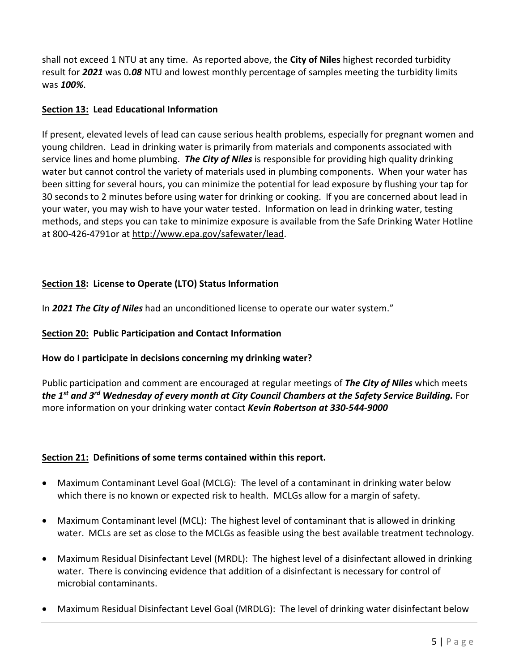shall not exceed 1 NTU at any time. As reported above, the **City of Niles** highest recorded turbidity result for *2021* was 0*.08* NTU and lowest monthly percentage of samples meeting the turbidity limits was *100%*.

# **Section 13: Lead Educational Information**

If present, elevated levels of lead can cause serious health problems, especially for pregnant women and young children. Lead in drinking water is primarily from materials and components associated with service lines and home plumbing. *The City of Niles* is responsible for providing high quality drinking water but cannot control the variety of materials used in plumbing components. When your water has been sitting for several hours, you can minimize the potential for lead exposure by flushing your tap for 30 seconds to 2 minutes before using water for drinking or cooking. If you are concerned about lead in your water, you may wish to have your water tested. Information on lead in drinking water, testing methods, and steps you can take to minimize exposure is available from the Safe Drinking Water Hotline at 800-426-4791or at [http://www.epa.gov/safewater/lead.](http://www.epa.gov/safewater/lead)

# **Section 18: License to Operate (LTO) Status Information**

In *2021 The City of Niles* had an unconditioned license to operate our water system."

# **Section 20: Public Participation and Contact Information**

### **How do I participate in decisions concerning my drinking water?**

Public participation and comment are encouraged at regular meetings of *The City of Niles* which meets *the 1st and 3rd Wednesday of every month at City Council Chambers at the Safety Service Building.* For more information on your drinking water contact *Kevin Robertson at 330-544-9000*

### **Section 21: Definitions of some terms contained within this report.**

- Maximum Contaminant Level Goal (MCLG): The level of a contaminant in drinking water below which there is no known or expected risk to health. MCLGs allow for a margin of safety.
- Maximum Contaminant level (MCL): The highest level of contaminant that is allowed in drinking water. MCLs are set as close to the MCLGs as feasible using the best available treatment technology.
- Maximum Residual Disinfectant Level (MRDL): The highest level of a disinfectant allowed in drinking water. There is convincing evidence that addition of a disinfectant is necessary for control of microbial contaminants.
- Maximum Residual Disinfectant Level Goal (MRDLG): The level of drinking water disinfectant below